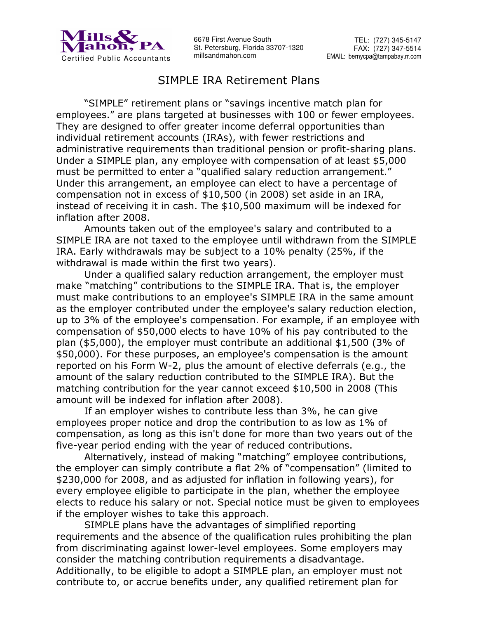

6678 First Avenue South St. Petersburg, Florida 33707-1320 millsandmahon.com

## SIMPLE IRA Retirement Plans

 "SIMPLE" retirement plans or "savings incentive match plan for employees." are plans targeted at businesses with 100 or fewer employees. They are designed to offer greater income deferral opportunities than individual retirement accounts (IRAs), with fewer restrictions and administrative requirements than traditional pension or profit-sharing plans. Under a SIMPLE plan, any employee with compensation of at least \$5,000 must be permitted to enter a "qualified salary reduction arrangement." Under this arrangement, an employee can elect to have a percentage of compensation not in excess of \$10,500 (in 2008) set aside in an IRA, instead of receiving it in cash. The \$10,500 maximum will be indexed for inflation after 2008.

Amounts taken out of the employee's salary and contributed to a SIMPLE IRA are not taxed to the employee until withdrawn from the SIMPLE IRA. Early withdrawals may be subject to a 10% penalty (25%, if the withdrawal is made within the first two years).

Under a qualified salary reduction arrangement, the employer must make "matching" contributions to the SIMPLE IRA. That is, the employer must make contributions to an employee's SIMPLE IRA in the same amount as the employer contributed under the employee's salary reduction election, up to 3% of the employee's compensation. For example, if an employee with compensation of \$50,000 elects to have 10% of his pay contributed to the plan (\$5,000), the employer must contribute an additional \$1,500 (3% of \$50,000). For these purposes, an employee's compensation is the amount reported on his Form W-2, plus the amount of elective deferrals (e.g., the amount of the salary reduction contributed to the SIMPLE IRA). But the matching contribution for the year cannot exceed \$10,500 in 2008 (This amount will be indexed for inflation after 2008).

If an employer wishes to contribute less than 3%, he can give employees proper notice and drop the contribution to as low as 1% of compensation, as long as this isn't done for more than two years out of the five-year period ending with the year of reduced contributions.

Alternatively, instead of making "matching" employee contributions, the employer can simply contribute a flat 2% of "compensation" (limited to \$230,000 for 2008, and as adjusted for inflation in following years), for every employee eligible to participate in the plan, whether the employee elects to reduce his salary or not. Special notice must be given to employees if the employer wishes to take this approach.

SIMPLE plans have the advantages of simplified reporting requirements and the absence of the qualification rules prohibiting the plan from discriminating against lower-level employees. Some employers may consider the matching contribution requirements a disadvantage. Additionally, to be eligible to adopt a SIMPLE plan, an employer must not contribute to, or accrue benefits under, any qualified retirement plan for